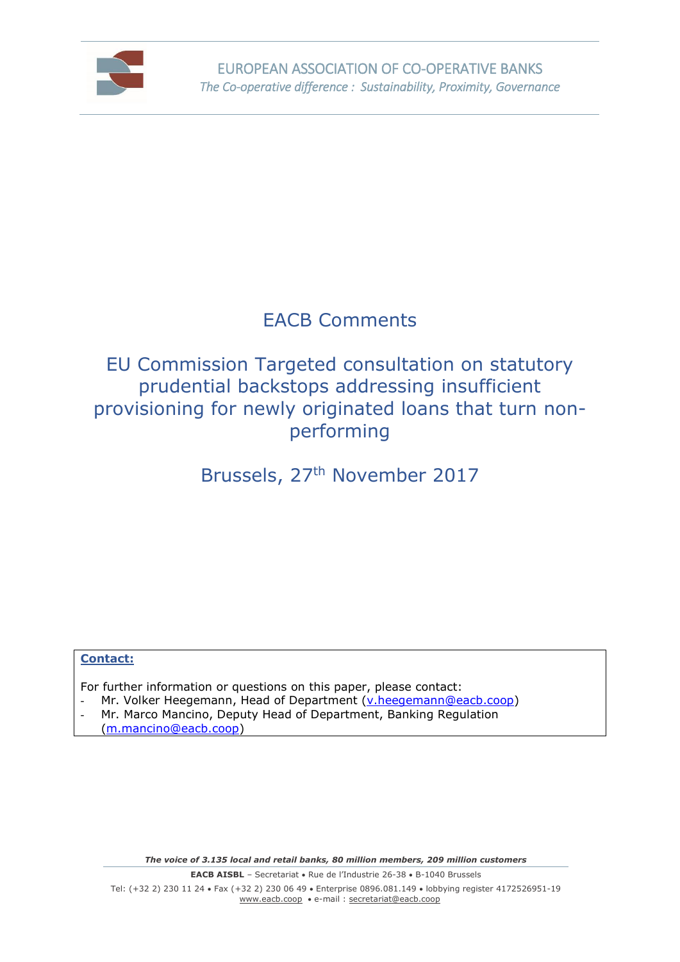

## EACB Comments

### EU Commission Targeted consultation on statutory prudential backstops addressing insufficient provisioning for newly originated loans that turn nonperforming

# Brussels, 27<sup>th</sup> November 2017

#### **Contact:**

For further information or questions on this paper, please contact:

- Mr. Volker Heegemann, Head of Department [\(v.heegemann@eacb.coop\)](mailto:v.heegemann@eacb.coop)
- Mr. Marco Mancino, Deputy Head of Department, Banking Regulation [\(m.mancino@eacb.coop\)](mailto:m.mancino@eacb.coop)

*The voice of 3.135 local and retail banks, 80 million members, 209 million customers*

**EACB AISBL** - Secretariat • Rue de l'Industrie 26-38 • B-1040 Brussels Tel: (+32 2) 230 11 24 Fax (+32 2) 230 06 49 Enterprise 0896.081.149 lobbying register 4172526951-19 [www.eacb.coop](http://www.eacb.coop/)  e-mail : [secretariat@eacb.coop](mailto:secretariat@eacb.coop)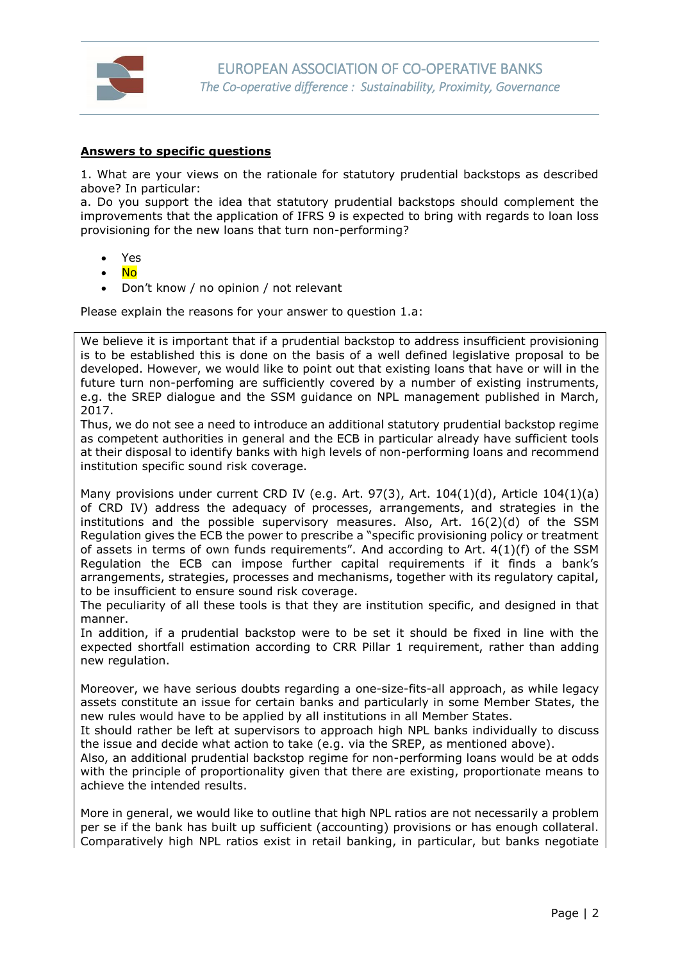

#### **Answers to specific questions**

1. What are your views on the rationale for statutory prudential backstops as described above? In particular:

a. Do you support the idea that statutory prudential backstops should complement the improvements that the application of IFRS 9 is expected to bring with regards to loan loss provisioning for the new loans that turn non-performing?

- Yes
- No
- Don't know / no opinion / not relevant

Please explain the reasons for your answer to question 1.a:

We believe it is important that if a prudential backstop to address insufficient provisioning is to be established this is done on the basis of a well defined legislative proposal to be developed. However, we would like to point out that existing loans that have or will in the future turn non-perfoming are sufficiently covered by a number of existing instruments, e.g. the SREP dialogue and the SSM guidance on NPL management published in March, 2017.

Thus, we do not see a need to introduce an additional statutory prudential backstop regime as competent authorities in general and the ECB in particular already have sufficient tools at their disposal to identify banks with high levels of non-performing loans and recommend institution specific sound risk coverage.

Many provisions under current CRD IV (e.g. Art. 97(3), Art.  $104(1)(d)$ , Article  $104(1)(a)$ of CRD IV) address the adequacy of processes, arrangements, and strategies in the institutions and the possible supervisory measures. Also, Art. 16(2)(d) of the SSM Regulation gives the ECB the power to prescribe a "specific provisioning policy or treatment of assets in terms of own funds requirements". And according to Art.  $4(1)(f)$  of the SSM Regulation the ECB can impose further capital requirements if it finds a bank's arrangements, strategies, processes and mechanisms, together with its regulatory capital, to be insufficient to ensure sound risk coverage.

The peculiarity of all these tools is that they are institution specific, and designed in that manner.

In addition, if a prudential backstop were to be set it should be fixed in line with the expected shortfall estimation according to CRR Pillar 1 requirement, rather than adding new regulation.

Moreover, we have serious doubts regarding a one-size-fits-all approach, as while legacy assets constitute an issue for certain banks and particularly in some Member States, the new rules would have to be applied by all institutions in all Member States.

It should rather be left at supervisors to approach high NPL banks individually to discuss the issue and decide what action to take (e.g. via the SREP, as mentioned above).

Also, an additional prudential backstop regime for non-performing loans would be at odds with the principle of proportionality given that there are existing, proportionate means to achieve the intended results.

More in general, we would like to outline that high NPL ratios are not necessarily a problem per se if the bank has built up sufficient (accounting) provisions or has enough collateral. Comparatively high NPL ratios exist in retail banking, in particular, but banks negotiate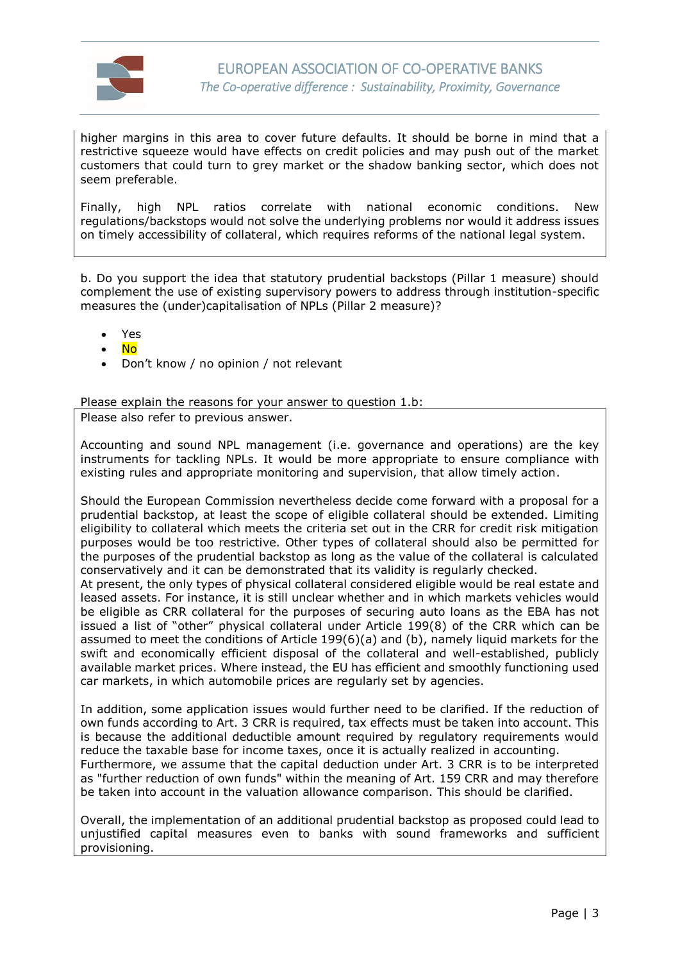

higher margins in this area to cover future defaults. It should be borne in mind that a restrictive squeeze would have effects on credit policies and may push out of the market customers that could turn to grey market or the shadow banking sector, which does not seem preferable.

Finally, high NPL ratios correlate with national economic conditions. New regulations/backstops would not solve the underlying problems nor would it address issues on timely accessibility of collateral, which requires reforms of the national legal system.

b. Do you support the idea that statutory prudential backstops (Pillar 1 measure) should complement the use of existing supervisory powers to address through institution-specific measures the (under)capitalisation of NPLs (Pillar 2 measure)?

- Yes
- No
- Don't know / no opinion / not relevant

Please explain the reasons for your answer to question 1.b:

Please also refer to previous answer.

Accounting and sound NPL management (i.e. governance and operations) are the key instruments for tackling NPLs. It would be more appropriate to ensure compliance with existing rules and appropriate monitoring and supervision, that allow timely action.

Should the European Commission nevertheless decide come forward with a proposal for a prudential backstop, at least the scope of eligible collateral should be extended. Limiting eligibility to collateral which meets the criteria set out in the CRR for credit risk mitigation purposes would be too restrictive. Other types of collateral should also be permitted for the purposes of the prudential backstop as long as the value of the collateral is calculated conservatively and it can be demonstrated that its validity is regularly checked.

At present, the only types of physical collateral considered eligible would be real estate and leased assets. For instance, it is still unclear whether and in which markets vehicles would be eligible as CRR collateral for the purposes of securing auto loans as the EBA has not issued a list of "other" physical collateral under Article 199(8) of the CRR which can be assumed to meet the conditions of Article 199(6)(a) and (b), namely liquid markets for the swift and economically efficient disposal of the collateral and well-established, publicly available market prices. Where instead, the EU has efficient and smoothly functioning used car markets, in which automobile prices are regularly set by agencies.

In addition, some application issues would further need to be clarified. If the reduction of own funds according to Art. 3 CRR is required, tax effects must be taken into account. This is because the additional deductible amount required by regulatory requirements would reduce the taxable base for income taxes, once it is actually realized in accounting. Furthermore, we assume that the capital deduction under Art. 3 CRR is to be interpreted as "further reduction of own funds" within the meaning of Art. 159 CRR and may therefore be taken into account in the valuation allowance comparison. This should be clarified.

Overall, the implementation of an additional prudential backstop as proposed could lead to unjustified capital measures even to banks with sound frameworks and sufficient provisioning.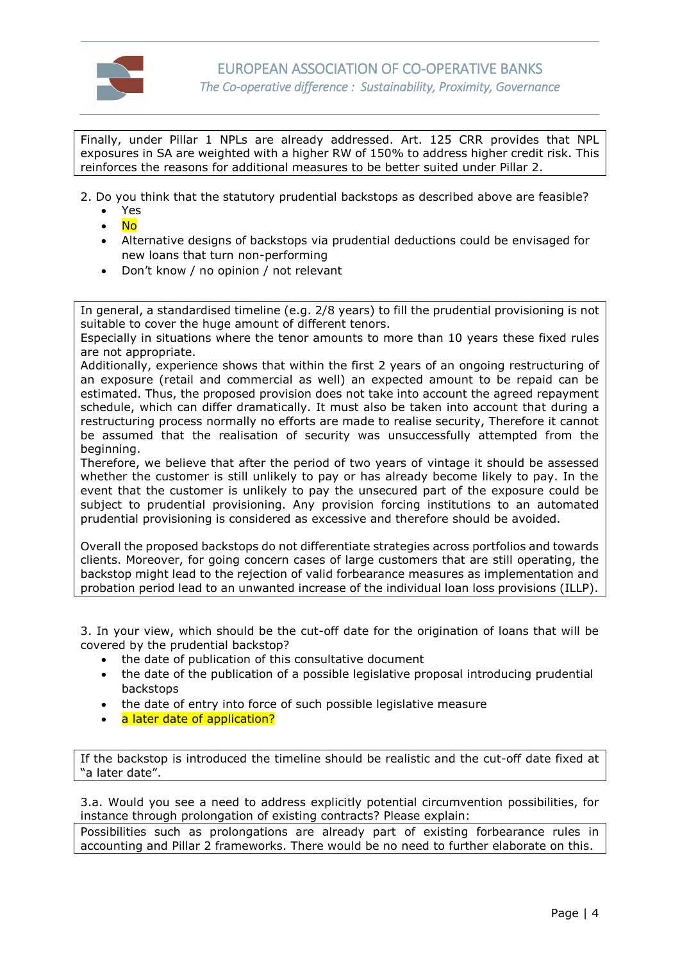

Finally, under Pillar 1 NPLs are already addressed. Art. 125 CRR provides that NPL exposures in SA are weighted with a higher RW of 150% to address higher credit risk. This reinforces the reasons for additional measures to be better suited under Pillar 2.

- 2. Do you think that the statutory prudential backstops as described above are feasible?
	- Yes
	- $\bullet$  No
	- Alternative designs of backstops via prudential deductions could be envisaged for new loans that turn non-performing
	- Don't know / no opinion / not relevant

In general, a standardised timeline (e.g. 2/8 years) to fill the prudential provisioning is not suitable to cover the huge amount of different tenors.

Especially in situations where the tenor amounts to more than 10 years these fixed rules are not appropriate.

Additionally, experience shows that within the first 2 years of an ongoing restructuring of an exposure (retail and commercial as well) an expected amount to be repaid can be estimated. Thus, the proposed provision does not take into account the agreed repayment schedule, which can differ dramatically. It must also be taken into account that during a restructuring process normally no efforts are made to realise security, Therefore it cannot be assumed that the realisation of security was unsuccessfully attempted from the beginning.

Therefore, we believe that after the period of two years of vintage it should be assessed whether the customer is still unlikely to pay or has already become likely to pay. In the event that the customer is unlikely to pay the unsecured part of the exposure could be subject to prudential provisioning. Any provision forcing institutions to an automated prudential provisioning is considered as excessive and therefore should be avoided.

Overall the proposed backstops do not differentiate strategies across portfolios and towards clients. Moreover, for going concern cases of large customers that are still operating, the backstop might lead to the rejection of valid forbearance measures as implementation and probation period lead to an unwanted increase of the individual loan loss provisions (ILLP).

3. In your view, which should be the cut-off date for the origination of loans that will be covered by the prudential backstop?

- the date of publication of this consultative document
- the date of the publication of a possible legislative proposal introducing prudential backstops
- the date of entry into force of such possible legislative measure
- a later date of application?

If the backstop is introduced the timeline should be realistic and the cut-off date fixed at "a later date".

3.a. Would you see a need to address explicitly potential circumvention possibilities, for instance through prolongation of existing contracts? Please explain:

Possibilities such as prolongations are already part of existing forbearance rules in accounting and Pillar 2 frameworks. There would be no need to further elaborate on this.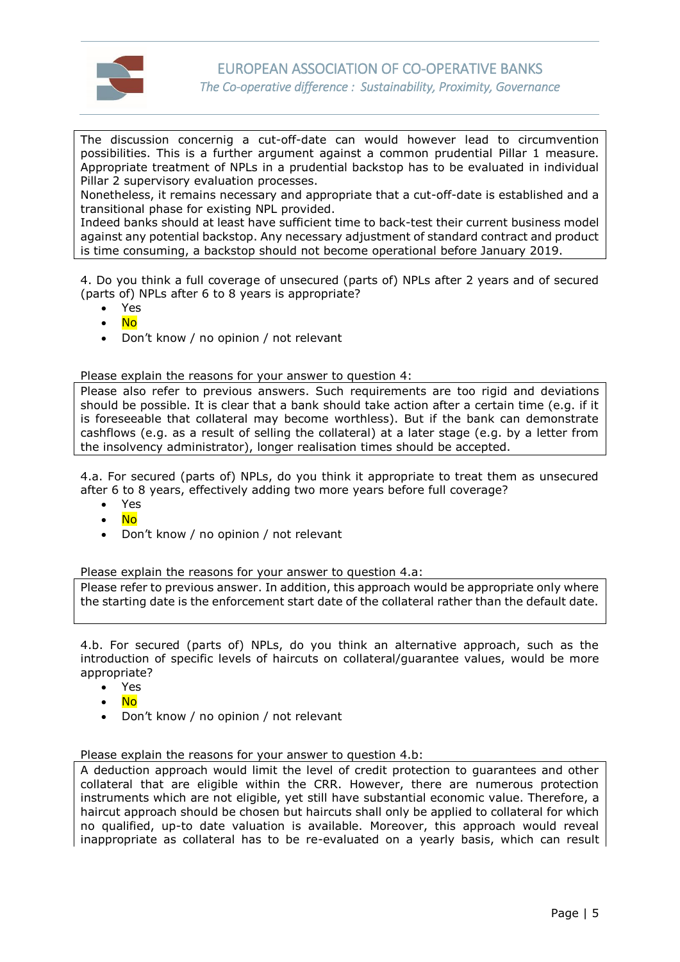

The discussion concernig a cut-off-date can would however lead to circumvention possibilities. This is a further argument against a common prudential Pillar 1 measure. Appropriate treatment of NPLs in a prudential backstop has to be evaluated in individual Pillar 2 supervisory evaluation processes.

Nonetheless, it remains necessary and appropriate that a cut-off-date is established and a transitional phase for existing NPL provided.

Indeed banks should at least have sufficient time to back-test their current business model against any potential backstop. Any necessary adjustment of standard contract and product is time consuming, a backstop should not become operational before January 2019.

4. Do you think a full coverage of unsecured (parts of) NPLs after 2 years and of secured (parts of) NPLs after 6 to 8 years is appropriate?

- Yes
- No
- Don't know / no opinion / not relevant

Please explain the reasons for your answer to question 4:

Please also refer to previous answers. Such requirements are too rigid and deviations should be possible. It is clear that a bank should take action after a certain time (e.g. if it is foreseeable that collateral may become worthless). But if the bank can demonstrate cashflows (e.g. as a result of selling the collateral) at a later stage (e.g. by a letter from the insolvency administrator), longer realisation times should be accepted.

4.a. For secured (parts of) NPLs, do you think it appropriate to treat them as unsecured after 6 to 8 years, effectively adding two more years before full coverage?

- Yes
- No
- Don't know / no opinion / not relevant

Please explain the reasons for your answer to question 4.a:

Please refer to previous answer. In addition, this approach would be appropriate only where the starting date is the enforcement start date of the collateral rather than the default date.

4.b. For secured (parts of) NPLs, do you think an alternative approach, such as the introduction of specific levels of haircuts on collateral/guarantee values, would be more appropriate?

- Yes
- No
- Don't know / no opinion / not relevant

Please explain the reasons for your answer to question 4.b:

A deduction approach would limit the level of credit protection to guarantees and other collateral that are eligible within the CRR. However, there are numerous protection instruments which are not eligible, yet still have substantial economic value. Therefore, a haircut approach should be chosen but haircuts shall only be applied to collateral for which no qualified, up-to date valuation is available. Moreover, this approach would reveal inappropriate as collateral has to be re-evaluated on a yearly basis, which can result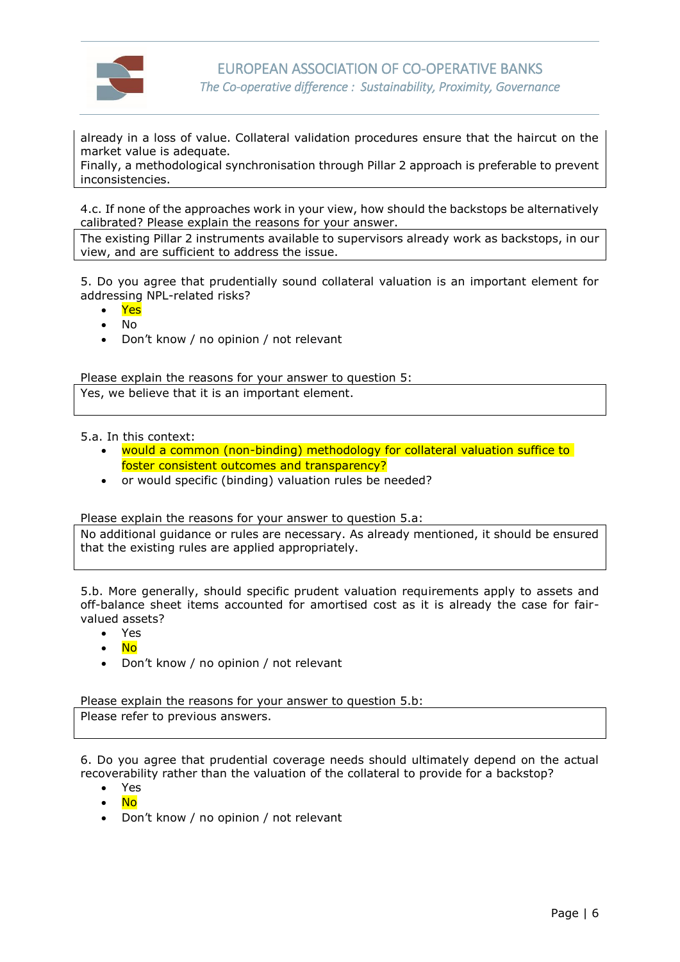

already in a loss of value. Collateral validation procedures ensure that the haircut on the market value is adequate.

Finally, a methodological synchronisation through Pillar 2 approach is preferable to prevent inconsistencies.

4.c. If none of the approaches work in your view, how should the backstops be alternatively calibrated? Please explain the reasons for your answer.

The existing Pillar 2 instruments available to supervisors already work as backstops, in our view, and are sufficient to address the issue.

5. Do you agree that prudentially sound collateral valuation is an important element for addressing NPL-related risks?

- Yes
- No
- Don't know / no opinion / not relevant

Please explain the reasons for your answer to question 5:

Yes, we believe that it is an important element.

5.a. In this context:

- would a common (non-binding) methodology for collateral valuation suffice to foster consistent outcomes and transparency?
- or would specific (binding) valuation rules be needed?

Please explain the reasons for your answer to question 5.a:

No additional guidance or rules are necessary. As already mentioned, it should be ensured that the existing rules are applied appropriately.

5.b. More generally, should specific prudent valuation requirements apply to assets and off-balance sheet items accounted for amortised cost as it is already the case for fairvalued assets?

- Yes
- No
- Don't know / no opinion / not relevant

Please explain the reasons for your answer to question 5.b:

Please refer to previous answers.

6. Do you agree that prudential coverage needs should ultimately depend on the actual recoverability rather than the valuation of the collateral to provide for a backstop?

- Yes
- No
- Don't know / no opinion / not relevant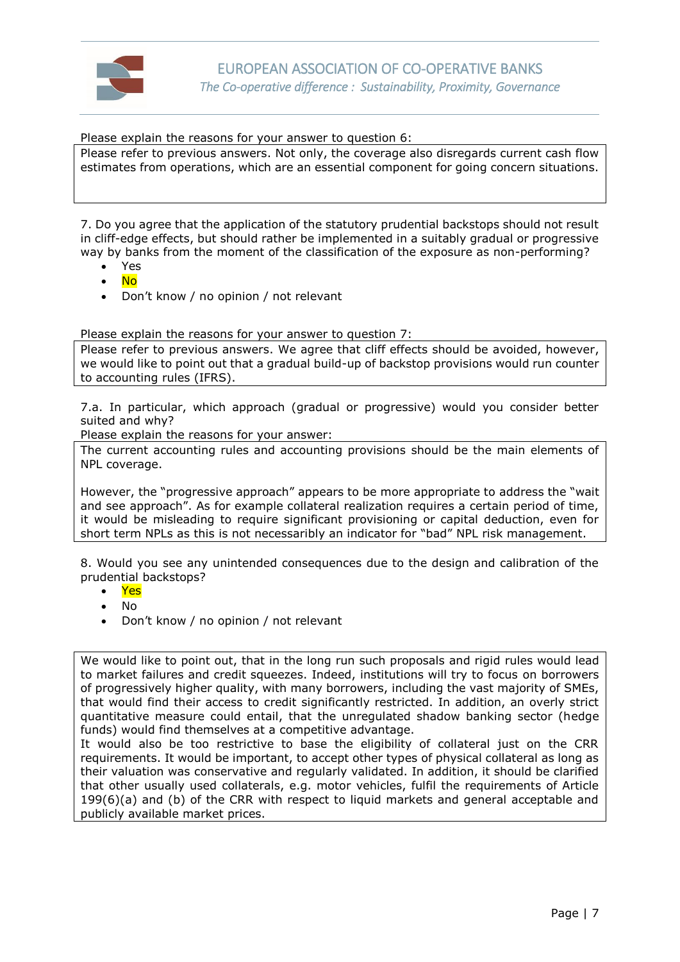

Please explain the reasons for your answer to question 6:

Please refer to previous answers. Not only, the coverage also disregards current cash flow estimates from operations, which are an essential component for going concern situations.

7. Do you agree that the application of the statutory prudential backstops should not result in cliff-edge effects, but should rather be implemented in a suitably gradual or progressive way by banks from the moment of the classification of the exposure as non-performing?

- Yes
- No
- Don't know / no opinion / not relevant

Please explain the reasons for your answer to question 7:

Please refer to previous answers. We agree that cliff effects should be avoided, however, we would like to point out that a gradual build-up of backstop provisions would run counter to accounting rules (IFRS).

7.a. In particular, which approach (gradual or progressive) would you consider better suited and why?

Please explain the reasons for your answer:

The current accounting rules and accounting provisions should be the main elements of NPL coverage.

However, the "progressive approach" appears to be more appropriate to address the "wait and see approach". As for example collateral realization requires a certain period of time, it would be misleading to require significant provisioning or capital deduction, even for short term NPLs as this is not necessaribly an indicator for "bad" NPL risk management.

8. Would you see any unintended consequences due to the design and calibration of the prudential backstops?

- Yes
- No
- Don't know / no opinion / not relevant

We would like to point out, that in the long run such proposals and rigid rules would lead to market failures and credit squeezes. Indeed, institutions will try to focus on borrowers of progressively higher quality, with many borrowers, including the vast majority of SMEs, that would find their access to credit significantly restricted. In addition, an overly strict quantitative measure could entail, that the unregulated shadow banking sector (hedge funds) would find themselves at a competitive advantage.

It would also be too restrictive to base the eligibility of collateral just on the CRR requirements. It would be important, to accept other types of physical collateral as long as their valuation was conservative and regularly validated. In addition, it should be clarified that other usually used collaterals, e.g. motor vehicles, fulfil the requirements of Article 199(6)(a) and (b) of the CRR with respect to liquid markets and general acceptable and publicly available market prices.